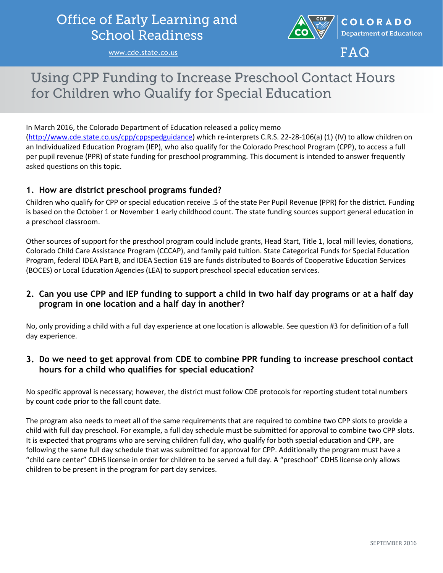## **Office of Early Learning and School Readiness**

[www.cde.state.co.us](http://www.cde.state.co.us/)



 $FAG$ 

# **Using CPP Funding to Increase Preschool Contact Hours** for Children who Qualify for Special Education

In March 2016, the Colorado Department of Education released a policy memo

[\(http://www.cde.state.co.us/cpp/cppspedguidance\)](http://www.cde.state.co.us/cpp/cppspedguidance) which re-interprets C.R.S. 22-28-106(a) (1) (IV) to allow children on an Individualized Education Program (IEP), who also qualify for the Colorado Preschool Program (CPP), to access a full per pupil revenue (PPR) of state funding for preschool programming. This document is intended to answer frequently asked questions on this topic.

#### **1. How are district preschool programs funded?**

Children who qualify for CPP or special education receive .5 of the state Per Pupil Revenue (PPR) for the district. Funding is based on the October 1 or November 1 early childhood count. The state funding sources support general education in a preschool classroom.

Other sources of support for the preschool program could include grants, Head Start, Title 1, local mill levies, donations, Colorado Child Care Assistance Program (CCCAP), and family paid tuition. State Categorical Funds for Special Education Program, federal IDEA Part B, and IDEA Section 619 are funds distributed to Boards of Cooperative Education Services (BOCES) or Local Education Agencies (LEA) to support preschool special education services.

#### **2. Can you use CPP and IEP funding to support a child in two half day programs or at a half day program in one location and a half day in another?**

No, only providing a child with a full day experience at one location is allowable. See question #3 for definition of a full day experience.

#### **3. Do we need to get approval from CDE to combine PPR funding to increase preschool contact hours for a child who qualifies for special education?**

No specific approval is necessary; however, the district must follow CDE protocols for reporting student total numbers by count code prior to the fall count date.

The program also needs to meet all of the same requirements that are required to combine two CPP slots to provide a child with full day preschool. For example, a full day schedule must be submitted for approval to combine two CPP slots. It is expected that programs who are serving children full day, who qualify for both special education and CPP, are following the same full day schedule that was submitted for approval for CPP. Additionally the program must have a "child care center" CDHS license in order for children to be served a full day. A "preschool" CDHS license only allows children to be present in the program for part day services.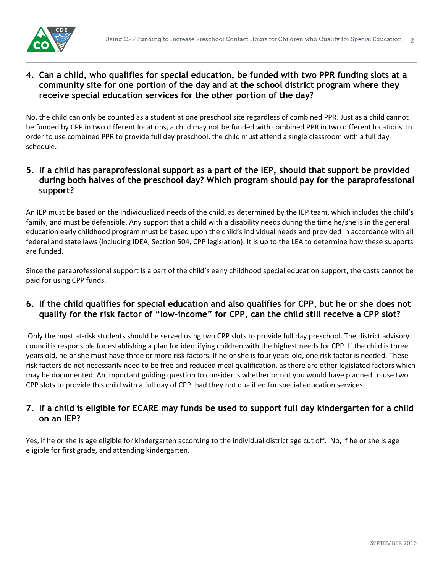

#### **4. Can a child, who qualifies for special education, be funded with two PPR funding slots at a community site for one portion of the day and at the school district program where they receive special education services for the other portion of the day?**

No, the child can only be counted as a student at one preschool site regardless of combined PPR. Just as a child cannot be funded by CPP in two different locations, a child may not be funded with combined PPR in two different locations. In order to use combined PPR to provide full day preschool, the child must attend a single classroom with a full day schedule.

#### **5. If a child has paraprofessional support as a part of the IEP, should that support be provided during both halves of the preschool day? Which program should pay for the paraprofessional support?**

An IEP must be based on the individualized needs of the child, as determined by the IEP team, which includes the child's family, and must be defensible. Any support that a child with a disability needs during the time he/she is in the general education early childhood program must be based upon the child's individual needs and provided in accordance with all federal and state laws (including IDEA, Section 504, CPP legislation). It is up to the LEA to determine how these supports are funded.

Since the paraprofessional support is a part of the child's early childhood special education support, the costs cannot be paid for using CPP funds.

#### **6. If the child qualifies for special education and also qualifies for CPP, but he or she does not qualify for the risk factor of "low-income" for CPP, can the child still receive a CPP slot?**

Only the most at-risk students should be served using two CPP slots to provide full day preschool. The district advisory council is responsible for establishing a plan for identifying children with the highest needs for CPP. If the child is three years old, he or she must have three or more risk factors. If he or she is four years old, one risk factor is needed. These risk factors do not necessarily need to be free and reduced meal qualification, as there are other legislated factors which may be documented. An important guiding question to consider is whether or not you would have planned to use two CPP slots to provide this child with a full day of CPP, had they not qualified for special education services.

#### **7. If a child is eligible for ECARE may funds be used to support full day kindergarten for a child on an IEP?**

Yes, if he or she is age eligible for kindergarten according to the individual district age cut off. No, if he or she is age eligible for first grade, and attending kindergarten.